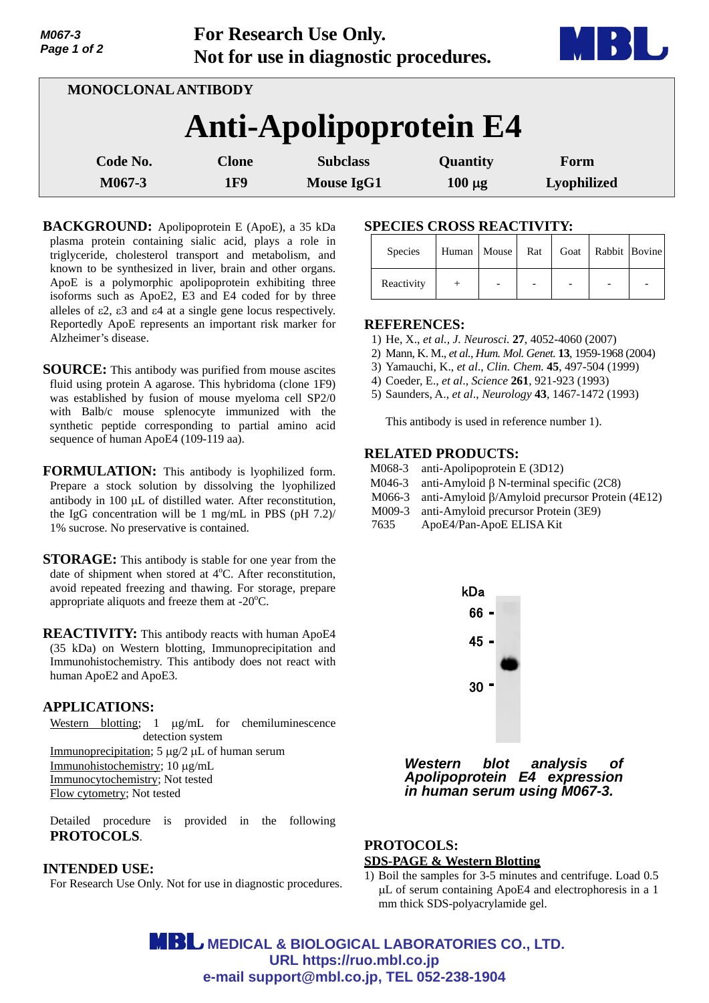| Page 1 of 2                   |                    | Not for use in diagnostic procedures. |                                      |                         |                     |  |  |  |  |  |  |  |
|-------------------------------|--------------------|---------------------------------------|--------------------------------------|-------------------------|---------------------|--|--|--|--|--|--|--|
| MONOCLONAL ANTIBODY           |                    |                                       |                                      |                         |                     |  |  |  |  |  |  |  |
| <b>Anti-Apolipoprotein E4</b> |                    |                                       |                                      |                         |                     |  |  |  |  |  |  |  |
|                               | Code No.<br>M067-3 | <b>Clone</b><br>1F9                   | <b>Subclass</b><br><b>Mouse IgG1</b> | Quantity<br>$100 \mu g$ | Form<br>Lyophilized |  |  |  |  |  |  |  |
|                               |                    |                                       |                                      |                         |                     |  |  |  |  |  |  |  |

**For Research Use Only.**

**BACKGROUND:** Apolipoprotein E (ApoE), a 35 kDa plasma protein containing sialic acid, plays a role in triglyceride, cholesterol transport and metabolism, and known to be synthesized in liver, brain and other organs. ApoE is a polymorphic apolipoprotein exhibiting three isoforms such as ApoE2, E3 and E4 coded for by three alleles of  $\epsilon$ 2,  $\epsilon$ 3 and  $\epsilon$ 4 at a single gene locus respectively. Reportedly ApoE represents an important risk marker for Alzheimer's disease.

- **SOURCE:** This antibody was purified from mouse ascites fluid using protein A agarose. This hybridoma (clone 1F9) was established by fusion of mouse myeloma cell SP2/0 with Balb/c mouse splenocyte immunized with the synthetic peptide corresponding to partial amino acid sequence of human ApoE4 (109-119 aa).
- **FORMULATION:** This antibody is lyophilized form. Prepare a stock solution by dissolving the lyophilized antibody in 100 µL of distilled water. After reconstitution, the IgG concentration will be 1 mg/mL in PBS (pH 7.2)/ 1% sucrose. No preservative is contained.
- **STORAGE:** This antibody is stable for one year from the date of shipment when stored at  $4^{\circ}$ C. After reconstitution, avoid repeated freezing and thawing. For storage, prepare appropriate aliquots and freeze them at  $-20^{\circ}$ C.

**REACTIVITY:** This antibody reacts with human ApoE4 (35 kDa) on Western blotting, Immunoprecipitation and Immunohistochemistry. This antibody does not react with human ApoE2 and ApoE3.

### **APPLICATIONS:**

*M067-3* 

Western blotting; 1  $\mu$ g/mL for chemiluminescence detection system Immunoprecipitation;  $5 \mu g/2 \mu L$  of human serum Immunohistochemistry; 10 µg/mL Immunocytochemistry; Not tested Flow cytometry; Not tested

Detailed procedure is provided in the following **PROTOCOLS**.

# **INTENDED USE:**

For Research Use Only. Not for use in diagnostic procedures.

# **SPECIES CROSS REACTIVITY:**

| <b>Species</b> | Human Mouse | Rat | Goat   Rabbit   Bovine |  |
|----------------|-------------|-----|------------------------|--|
| Reactivity     |             |     |                        |  |

### **REFERENCES:**

- 1) He, X., *et al., J. Neurosci.* **27**, 4052-4060 (2007)
- 2) Mann, K. M., *et al., Hum. Mol. Genet.* **13**, 1959-1968 (2004)
- 3) Yamauchi, K., *et al*., *Clin. Chem.* **45**, 497-504 (1999)
- 4) Coeder, E., *et al*., *Science* **261**, 921-923 (1993)
- 5) Saunders, A., *et al*., *Neurology* **43**, 1467-1472 (1993)

This antibody is used in reference number 1).

## **RELATED PRODUCTS:**

- M068-3 anti-Apolipoprotein E (3D12)
- M046-3 anti-Amyloid  $\beta$  N-terminal specific (2C8)
- M066-3 anti-Amyloid  $\beta$ /Amyloid precursor Protein (4E12)
- M009-3 anti-Amyloid precursor Protein (3E9)
- 7635 ApoE4/Pan-ApoE ELISA Kit



*Western blot analysis of Apolipoprotein E4 expression in human serum using M067-3.*

# **PROTOCOLS: SDS-PAGE & Western Blotting**

1) Boil the samples for 3-5 minutes and centrifuge. Load 0.5 L of serum containing ApoE4 and electrophoresis in a 1 mm thick SDS-polyacrylamide gel.

**MBL** MEDICAL & BIOLOGICAL LABORATORIES CO., LTD. **URL https://ruo.mbl.co.jp e-mail support@mbl.co.jp, TEL 052-238-1904**